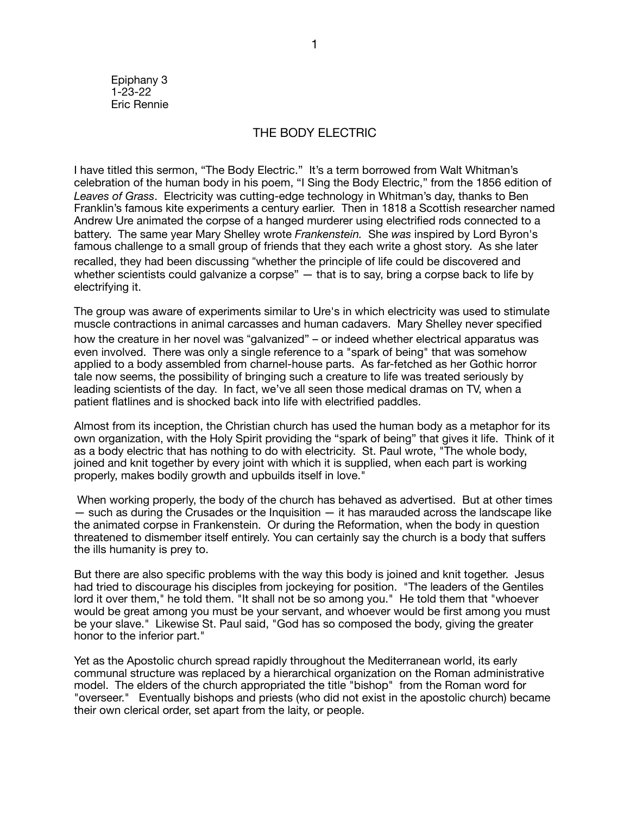Epiphany 3 1-23-22 Eric Rennie

## THE BODY ELECTRIC

I have titled this sermon, "The Body Electric." It's a term borrowed from Walt Whitman's celebration of the human body in his poem, "I Sing the Body Electric," from the 1856 edition of *Leaves of Grass*. Electricity was cutting-edge technology in Whitman's day, thanks to Ben Franklin's famous kite experiments a century earlier. Then in 1818 a Scottish researcher named Andrew Ure animated the corpse of a hanged murderer using electrified rods connected to a battery. The same year Mary Shelley wrote *Frankenstein.* She *was* inspired by Lord Byron's famous challenge to a small group of friends that they each write a ghost story. As she later recalled, they had been discussing "whether the principle of life could be discovered and whether scientists could galvanize a corpse" — that is to say, bring a corpse back to life by electrifying it.

The group was aware of experiments similar to Ure's in which electricity was used to stimulate muscle contractions in animal carcasses and human cadavers. Mary Shelley never specified how the creature in her novel was "galvanized" – or indeed whether electrical apparatus was even involved. There was only a single reference to a "spark of being" that was somehow applied to a body assembled from charnel-house parts. As far-fetched as her Gothic horror tale now seems, the possibility of bringing such a creature to life was treated seriously by leading scientists of the day. In fact, we've all seen those medical dramas on TV, when a patient flatlines and is shocked back into life with electrified paddles.

Almost from its inception, the Christian church has used the human body as a metaphor for its own organization, with the Holy Spirit providing the "spark of being" that gives it life. Think of it as a body electric that has nothing to do with electricity. St. Paul wrote, "The whole body, joined and knit together by every joint with which it is supplied, when each part is working properly, makes bodily growth and upbuilds itself in love."

 When working properly, the body of the church has behaved as advertised. But at other times  $-$  such as during the Crusades or the Inquisition  $-$  it has marauded across the landscape like the animated corpse in Frankenstein. Or during the Reformation, when the body in question threatened to dismember itself entirely. You can certainly say the church is a body that suffers the ills humanity is prey to.

But there are also specific problems with the way this body is joined and knit together. Jesus had tried to discourage his disciples from jockeying for position. "The leaders of the Gentiles lord it over them," he told them. "It shall not be so among you." He told them that "whoever would be great among you must be your servant, and whoever would be first among you must be your slave." Likewise St. Paul said, "God has so composed the body, giving the greater honor to the inferior part."

Yet as the Apostolic church spread rapidly throughout the Mediterranean world, its early communal structure was replaced by a hierarchical organization on the Roman administrative model. The elders of the church appropriated the title "bishop" from the Roman word for "overseer." Eventually bishops and priests (who did not exist in the apostolic church) became their own clerical order, set apart from the laity, or people.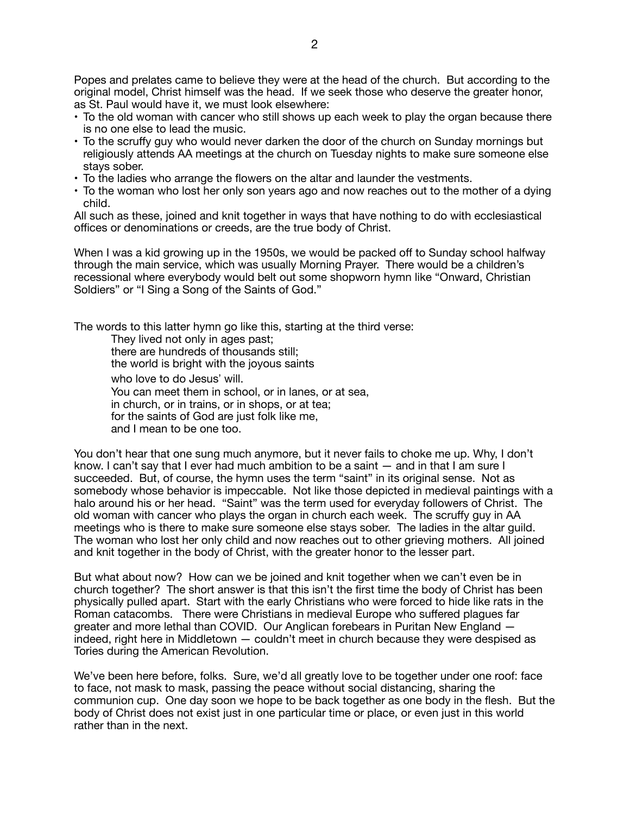Popes and prelates came to believe they were at the head of the church. But according to the original model, Christ himself was the head. If we seek those who deserve the greater honor, as St. Paul would have it, we must look elsewhere:

- To the old woman with cancer who still shows up each week to play the organ because there is no one else to lead the music.
- To the scruffy guy who would never darken the door of the church on Sunday mornings but religiously attends AA meetings at the church on Tuesday nights to make sure someone else stays sober.
- To the ladies who arrange the flowers on the altar and launder the vestments.
- To the woman who lost her only son years ago and now reaches out to the mother of a dying child.

All such as these, joined and knit together in ways that have nothing to do with ecclesiastical offices or denominations or creeds, are the true body of Christ.

When I was a kid growing up in the 1950s, we would be packed off to Sunday school halfway through the main service, which was usually Morning Prayer. There would be a children's recessional where everybody would belt out some shopworn hymn like "Onward, Christian Soldiers" or "I Sing a Song of the Saints of God."

The words to this latter hymn go like this, starting at the third verse:

They lived not only in ages past; there are hundreds of thousands still; the world is bright with the joyous saints who love to do Jesus' will. You can meet them in school, or in lanes, or at sea, in church, or in trains, or in shops, or at tea; for the saints of God are just folk like me, and I mean to be one too.

You don't hear that one sung much anymore, but it never fails to choke me up. Why, I don't know. I can't say that I ever had much ambition to be a saint — and in that I am sure I succeeded. But, of course, the hymn uses the term "saint" in its original sense. Not as somebody whose behavior is impeccable. Not like those depicted in medieval paintings with a halo around his or her head. "Saint" was the term used for everyday followers of Christ. The old woman with cancer who plays the organ in church each week. The scruffy guy in AA meetings who is there to make sure someone else stays sober. The ladies in the altar guild. The woman who lost her only child and now reaches out to other grieving mothers. All joined and knit together in the body of Christ, with the greater honor to the lesser part.

But what about now? How can we be joined and knit together when we can't even be in church together? The short answer is that this isn't the first time the body of Christ has been physically pulled apart. Start with the early Christians who were forced to hide like rats in the Roman catacombs. There were Christians in medieval Europe who suffered plagues far greater and more lethal than COVID. Our Anglican forebears in Puritan New England indeed, right here in Middletown — couldn't meet in church because they were despised as Tories during the American Revolution.

We've been here before, folks. Sure, we'd all greatly love to be together under one roof: face to face, not mask to mask, passing the peace without social distancing, sharing the communion cup. One day soon we hope to be back together as one body in the flesh. But the body of Christ does not exist just in one particular time or place, or even just in this world rather than in the next.